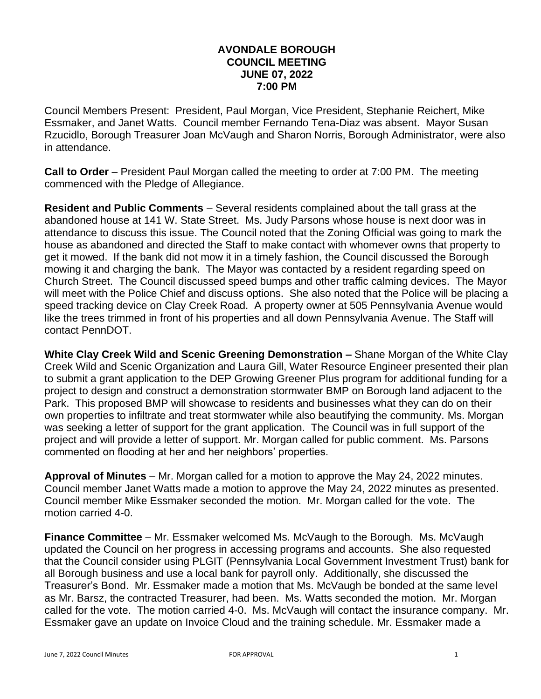## **AVONDALE BOROUGH COUNCIL MEETING JUNE 07, 2022 7:00 PM**

Council Members Present: President, Paul Morgan, Vice President, Stephanie Reichert, Mike Essmaker, and Janet Watts. Council member Fernando Tena-Diaz was absent. Mayor Susan Rzucidlo, Borough Treasurer Joan McVaugh and Sharon Norris, Borough Administrator, were also in attendance.

**Call to Order** – President Paul Morgan called the meeting to order at 7:00 PM. The meeting commenced with the Pledge of Allegiance.

**Resident and Public Comments** – Several residents complained about the tall grass at the abandoned house at 141 W. State Street. Ms. Judy Parsons whose house is next door was in attendance to discuss this issue. The Council noted that the Zoning Official was going to mark the house as abandoned and directed the Staff to make contact with whomever owns that property to get it mowed. If the bank did not mow it in a timely fashion, the Council discussed the Borough mowing it and charging the bank. The Mayor was contacted by a resident regarding speed on Church Street. The Council discussed speed bumps and other traffic calming devices. The Mayor will meet with the Police Chief and discuss options. She also noted that the Police will be placing a speed tracking device on Clay Creek Road. A property owner at 505 Pennsylvania Avenue would like the trees trimmed in front of his properties and all down Pennsylvania Avenue. The Staff will contact PennDOT.

**White Clay Creek Wild and Scenic Greening Demonstration –** Shane Morgan of the White Clay Creek Wild and Scenic Organization and Laura Gill, Water Resource Engineer presented their plan to submit a grant application to the DEP Growing Greener Plus program for additional funding for a project to design and construct a demonstration stormwater BMP on Borough land adjacent to the Park. This proposed BMP will showcase to residents and businesses what they can do on their own properties to infiltrate and treat stormwater while also beautifying the community. Ms. Morgan was seeking a letter of support for the grant application. The Council was in full support of the project and will provide a letter of support. Mr. Morgan called for public comment. Ms. Parsons commented on flooding at her and her neighbors' properties.

**Approval of Minutes** – Mr. Morgan called for a motion to approve the May 24, 2022 minutes. Council member Janet Watts made a motion to approve the May 24, 2022 minutes as presented. Council member Mike Essmaker seconded the motion. Mr. Morgan called for the vote. The motion carried 4-0.

**Finance Committee** – Mr. Essmaker welcomed Ms. McVaugh to the Borough. Ms. McVaugh updated the Council on her progress in accessing programs and accounts. She also requested that the Council consider using PLGIT (Pennsylvania Local Government Investment Trust) bank for all Borough business and use a local bank for payroll only. Additionally, she discussed the Treasurer's Bond. Mr. Essmaker made a motion that Ms. McVaugh be bonded at the same level as Mr. Barsz, the contracted Treasurer, had been. Ms. Watts seconded the motion. Mr. Morgan called for the vote. The motion carried 4-0. Ms. McVaugh will contact the insurance company. Mr. Essmaker gave an update on Invoice Cloud and the training schedule. Mr. Essmaker made a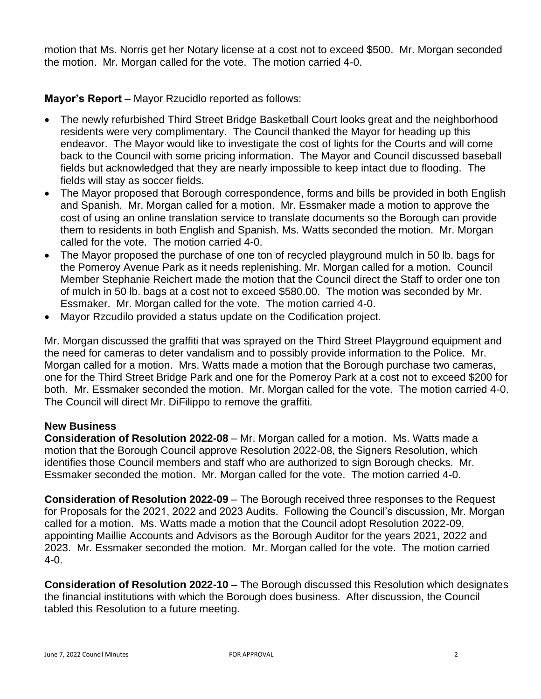motion that Ms. Norris get her Notary license at a cost not to exceed \$500. Mr. Morgan seconded the motion. Mr. Morgan called for the vote. The motion carried 4-0.

**Mayor's Report** – Mayor Rzucidlo reported as follows:

- The newly refurbished Third Street Bridge Basketball Court looks great and the neighborhood residents were very complimentary. The Council thanked the Mayor for heading up this endeavor. The Mayor would like to investigate the cost of lights for the Courts and will come back to the Council with some pricing information. The Mayor and Council discussed baseball fields but acknowledged that they are nearly impossible to keep intact due to flooding. The fields will stay as soccer fields.
- The Mayor proposed that Borough correspondence, forms and bills be provided in both English and Spanish. Mr. Morgan called for a motion. Mr. Essmaker made a motion to approve the cost of using an online translation service to translate documents so the Borough can provide them to residents in both English and Spanish. Ms. Watts seconded the motion. Mr. Morgan called for the vote. The motion carried 4-0.
- The Mayor proposed the purchase of one ton of recycled playground mulch in 50 lb. bags for the Pomeroy Avenue Park as it needs replenishing. Mr. Morgan called for a motion. Council Member Stephanie Reichert made the motion that the Council direct the Staff to order one ton of mulch in 50 lb. bags at a cost not to exceed \$580.00. The motion was seconded by Mr. Essmaker. Mr. Morgan called for the vote. The motion carried 4-0.
- Mayor Rzcudilo provided a status update on the Codification project.

Mr. Morgan discussed the graffiti that was sprayed on the Third Street Playground equipment and the need for cameras to deter vandalism and to possibly provide information to the Police. Mr. Morgan called for a motion. Mrs. Watts made a motion that the Borough purchase two cameras, one for the Third Street Bridge Park and one for the Pomeroy Park at a cost not to exceed \$200 for both. Mr. Essmaker seconded the motion. Mr. Morgan called for the vote. The motion carried 4-0. The Council will direct Mr. DiFilippo to remove the graffiti.

## **New Business**

**Consideration of Resolution 2022-08** – Mr. Morgan called for a motion. Ms. Watts made a motion that the Borough Council approve Resolution 2022-08, the Signers Resolution, which identifies those Council members and staff who are authorized to sign Borough checks. Mr. Essmaker seconded the motion. Mr. Morgan called for the vote. The motion carried 4-0.

**Consideration of Resolution 2022-09** – The Borough received three responses to the Request for Proposals for the 2021, 2022 and 2023 Audits. Following the Council's discussion, Mr. Morgan called for a motion. Ms. Watts made a motion that the Council adopt Resolution 2022-09, appointing Maillie Accounts and Advisors as the Borough Auditor for the years 2021, 2022 and 2023. Mr. Essmaker seconded the motion. Mr. Morgan called for the vote. The motion carried 4-0.

**Consideration of Resolution 2022-10** – The Borough discussed this Resolution which designates the financial institutions with which the Borough does business. After discussion, the Council tabled this Resolution to a future meeting.